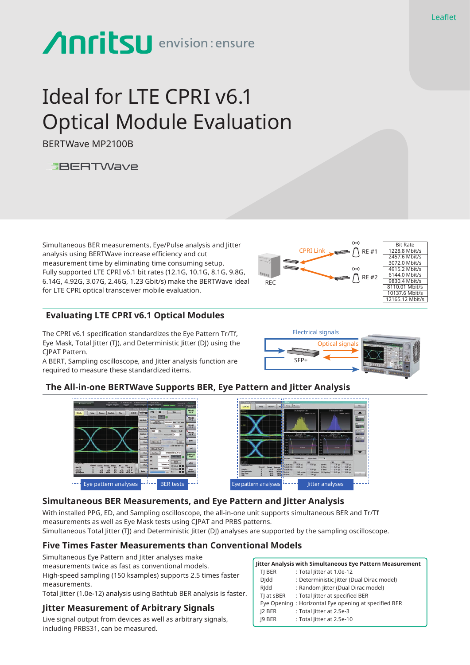# **Anritsu** envision: ensure

# Ideal for LTE CPRI v6.1 Optical Module Evaluation

BERTWave MP2100B



Simultaneous BER measurements, Eye/Pulse analysis and Jitter analysis using BERTWave increase efficiency and cut measurement time by eliminating time consuming setup. Fully supported LTE CPRI v6.1 bit rates (12.1G, 10.1G, 8.1G, 9.8G, 6.14G, 4.92G, 3.07G, 2.46G, 1.23 Gbit/s) make the BERTWave ideal for LTE CPRI optical transceiver mobile evaluation.

#### **Evaluating LTE CPRI v6.1 Optical Modules**

The CPRI v6.1 specification standardizes the Eye Pattern Tr/Tf, Eye Mask, Total Jitter (TJ), and Deterministic Jitter (DJ) using the CJPAT Pattern.

A BERT, Sampling oscilloscope, and Jitter analysis function are required to measure these standardized items.



Optical signals

# **The All-in-one BERTWave Supports BER, Eye Pattern and Jitter Analysis**





SF<sub>P</sub>

Electrical signals

### **Simultaneous BER Measurements, and Eye Pattern and Jitter Analysis**

With installed PPG, ED, and Sampling oscilloscope, the all-in-one unit supports simultaneous BER and Tr/Tf measurements as well as Eye Mask tests using CJPAT and PRBS patterns. Simultaneous Total Jitter (TJ) and Deterministic Jitter (DJ) analyses are supported by the sampling oscilloscope.

# **Five Times Faster Measurements than Conventional Models**

Simultaneous Eye Pattern and Jitter analyses make measurements twice as fast as conventional models. High-speed sampling (150 ksamples) supports 2.5 times faster measurements.

Total Jitter (1.0e-12) analysis using Bathtub BER analysis is faster.

#### **Jitter Measurement of Arbitrary Signals**

Live signal output from devices as well as arbitrary signals, including PRBS31, can be measured.

| Jitter Analysis with Simultaneous Eye Pattern Measurement |              |                                                      |
|-----------------------------------------------------------|--------------|------------------------------------------------------|
|                                                           | TI BER       | : Total litter at 1.0e-12                            |
|                                                           | <b>D</b>  dd | : Deterministic Jitter (Dual Dirac model)            |
|                                                           | RIdd         | : Random Jitter (Dual Dirac model)                   |
|                                                           | TJ at sBER   | : Total Jitter at specified BER                      |
|                                                           |              | Eye Opening: Horizontal Eye opening at specified BER |
|                                                           | 12 BER       | : Total litter at 2.5e-3                             |
|                                                           | 19 BER       | : Total litter at 2.5e-10                            |
|                                                           |              |                                                      |